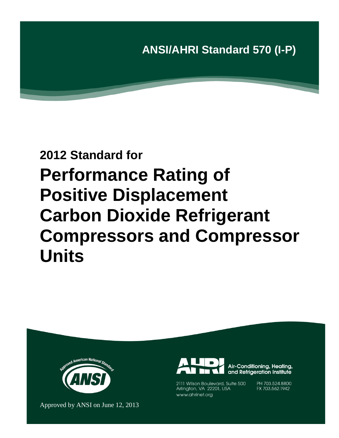

# **2012 Standard for Performance Rating of Positive Displacement Carbon Dioxide Refrigerant Compressors and Compressor Units**



Approved by ANSI on June 12, 2013



2111 Wilson Boulevard, Suite 500 Arlington, VA 22201, USA www.ahrinet.org

PH 703.524.8800 FX 703.562.1942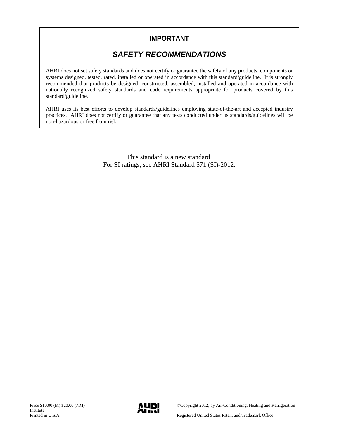### **IMPORTANT**

# *SAFETY RECOMMENDATIONS*

AHRI does not set safety standards and does not certify or guarantee the safety of any products, components or systems designed, tested, rated, installed or operated in accordance with this standard/guideline. It is strongly recommended that products be designed, constructed, assembled, installed and operated in accordance with nationally recognized safety standards and code requirements appropriate for products covered by this standard/guideline.

AHRI uses its best efforts to develop standards/guidelines employing state-of-the-art and accepted industry practices. AHRI does not certify or guarantee that any tests conducted under its standards/guidelines will be non-hazardous or free from risk.

> This standard is a new standard. For SI ratings, see AHRI Standard 571 (SI)-2012.

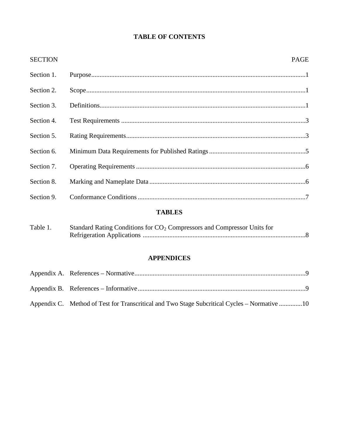## **TABLE OF CONTENTS**

| <b>SECTION</b> | <b>PAGE</b> |
|----------------|-------------|
| Section 1.     |             |
| Section 2.     |             |
| Section 3.     |             |
| Section 4.     |             |
| Section 5.     |             |
| Section 6.     |             |
| Section 7.     |             |
| Section 8.     |             |
| Section 9.     |             |
|                |             |

### **TABLES**

| Table 1. | Standard Rating Conditions for CO <sub>2</sub> Compressors and Compressor Units for |  |  |  |  |
|----------|-------------------------------------------------------------------------------------|--|--|--|--|
|          |                                                                                     |  |  |  |  |

### **APPENDICES**

| Appendix C. Method of Test for Transcritical and Two Stage Subcritical Cycles – Normative 10 |  |
|----------------------------------------------------------------------------------------------|--|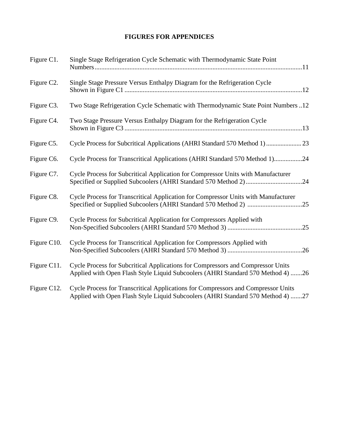### **FIGURES FOR APPENDICES**

| Figure C1.  | Single Stage Refrigeration Cycle Schematic with Thermodynamic State Point                                                                                            |
|-------------|----------------------------------------------------------------------------------------------------------------------------------------------------------------------|
| Figure C2.  | Single Stage Pressure Versus Enthalpy Diagram for the Refrigeration Cycle                                                                                            |
| Figure C3.  | Two Stage Refrigeration Cycle Schematic with Thermodynamic State Point Numbers 12                                                                                    |
| Figure C4.  | Two Stage Pressure Versus Enthalpy Diagram for the Refrigeration Cycle                                                                                               |
| Figure C5.  | Cycle Process for Subcritical Applications (AHRI Standard 570 Method 1)  23                                                                                          |
| Figure C6.  | Cycle Process for Transcritical Applications (AHRI Standard 570 Method 1)24                                                                                          |
| Figure C7.  | Cycle Process for Subcritical Application for Compressor Units with Manufacturer                                                                                     |
| Figure C8.  | Cycle Process for Transcritical Application for Compressor Units with Manufacturer                                                                                   |
| Figure C9.  | Cycle Process for Subcritical Application for Compressors Applied with                                                                                               |
| Figure C10. | Cycle Process for Transcritical Application for Compressors Applied with                                                                                             |
| Figure C11. | Cycle Process for Subcritical Applications for Compressors and Compressor Units<br>Applied with Open Flash Style Liquid Subcoolers (AHRI Standard 570 Method 4) 26   |
| Figure C12. | Cycle Process for Transcritical Applications for Compressors and Compressor Units<br>Applied with Open Flash Style Liquid Subcoolers (AHRI Standard 570 Method 4) 27 |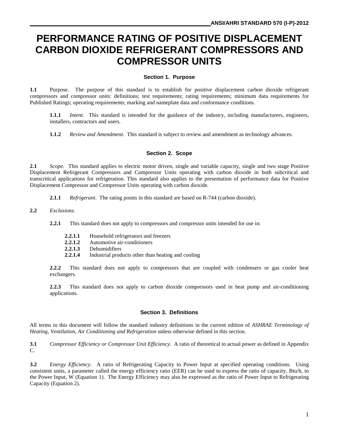# **PERFORMANCE RATING OF POSITIVE DISPLACEMENT CARBON DIOXIDE REFRIGERANT COMPRESSORS AND COMPRESSOR UNITS**

#### **Section 1. Purpose**

**1.1** Purpose. The purpose of this standard is to establish for positive displacement carbon dioxide refrigerant compressors and compressor units: definitions; test requirements; rating requirements; minimum data requirements for Published Ratings; operating requirements; marking and nameplate data and conformance conditions.

**1.1.1** *Intent.* This standard is intended for the guidance of the industry, including manufacturers, engineers, installers, contractors and users.

**1.1.2** *Review and Amendment*. This standard is subject to review and amendment as technology advances.

#### **Section 2. Scope**

**2.1** *Scope.* This standard applies to electric motor driven, single and variable capacity, single and two stage Positive Displacement Refrigerant Compressors and Compressor Units operating with carbon dioxide in both subcritical and transcritical applications for refrigeration. This standard also applies to the presentation of performance data for Positive Displacement Compressor and Compressor Units operating with carbon dioxide.

- **2.1.1** *Refrigerant*. The rating points in this standard are based on R-744 (carbon dioxide).
- **2.2** *Exclusions*.
	- **2.2.1** This standard does not apply to compressors and compressor units intended for use in:
		- **2.2.1.1** Household refrigerators and freezers
		- **2.2.1.2** Automotive air-conditioners
		- 2.2.1.3 Dehumidifiers<br>2.2.1.4 Industrial prod
		- **2.2.1.4** Industrial products other than heating and cooling

**2.2.2** This standard does not apply to compressors that are coupled with condensers or gas cooler heat exchangers.

**2.2.3** This standard does not apply to carbon dioxide compressors used in heat pump and air-conditioning applications.

#### **Section 3. Definitions**

All terms in this document will follow the standard industry definitions in the current edition of *ASHRAE Terminology of Heating, Ventilation, Air Conditioning and Refrigeration* unless otherwise defined in this section.

**3.1** *Compressor Efficiency or Compressor Unit Efficiency*. A ratio of theoretical to actual power as defined in Appendix C.

**3.2** *Energy Efficiency*. A ratio of Refrigerating Capacity to Power Input at specified operating conditions. Using consistent units, a parameter called the energy efficiency ratio (EER) can be used to express the ratio of capacity, Btu/h, to the Power Input, W (Equation 1). The Energy Efficiency may also be expressed as the ratio of Power Input to Refrigerating Capacity (Equation 2).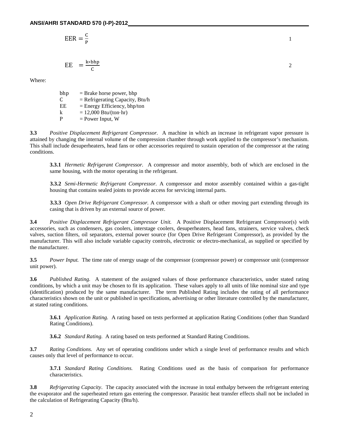$$
EER = \frac{C}{P}
$$

$$
EE = \frac{k * bhp}{C}
$$

Where:

bhp = Brake horse power, bhp<br>  $C = \text{Refriperating Canacity.}$  $C = Refrigerating Capacity, Btu/h  
\nEE = Energy Efficiency, bhn/ton$  $=$  Energy Efficiency, bhp/ton k =  $12,000$  Btu/(ton·hr)  $P = Power Input, W$ 

**3.3** *Positive Displacement Refrigerant Compressor.* A machine in which an increase in refrigerant vapor pressure is attained by changing the internal volume of the compression chamber through work applied to the compressor's mechanism. This shall include desuperheaters, head fans or other accessories required to sustain operation of the compressor at the rating conditions.

**3.3.1** *Hermetic Refrigerant Compressor.* A compressor and motor assembly, both of which are enclosed in the same housing, with the motor operating in the refrigerant.

**3.3.2** *Semi-Hermetic Refrigerant Compressor.* A compressor and motor assembly contained within a gas-tight housing that contains sealed joints to provide access for servicing internal parts.

**3.3.3** *Open Drive Refrigerant Compressor.* A compressor with a shaft or other moving part extending through its casing that is driven by an external source of power.

**3.4** *Positive Displacement Refrigerant Compressor Unit.* A Positive Displacement Refrigerant Compressor(s) with accessories, such as condensers, gas coolers, interstage coolers, desuperheaters, head fans, strainers, service valves, check valves, suction filters, oil separators, external power source (for Open Drive Refrigerant Compressor), as provided by the manufacturer. This will also include variable capacity controls, electronic or electro-mechanical, as supplied or specified by the manufacturer.

**3.5** *Power Input.* The time rate of energy usage of the compressor (compressor power) or compressor unit (compressor unit power).

**3.6** *Published Rating.* A statement of the assigned values of those performance characteristics, under stated rating conditions, by which a unit may be chosen to fit its application. These values apply to all units of like nominal size and type (identification) produced by the same manufacturer. The term Published Rating includes the rating of all performance characteristics shown on the unit or published in specifications, advertising or other literature controlled by the manufacturer, at stated rating conditions.

**3.6.1** *Application Rating.* A rating based on tests performed at application Rating Conditions (other than Standard Rating Conditions).

**3.6.2** *Standard Rating.* A rating based on tests performed at Standard Rating Conditions.

**3.7** *Rating Conditions.* Any set of operating conditions under which a single level of performance results and which causes only that level of performance to occur.

**3.7.1** *Standard Rating Conditions.* Rating Conditions used as the basis of comparison for performance characteristics.

**3.8** *Refrigerating Capacity*. The capacity associated with the increase in total enthalpy between the refrigerant entering the evaporator and the superheated return gas entering the compressor. Parasitic heat transfer effects shall not be included in the calculation of Refrigerating Capacity (Btu/h).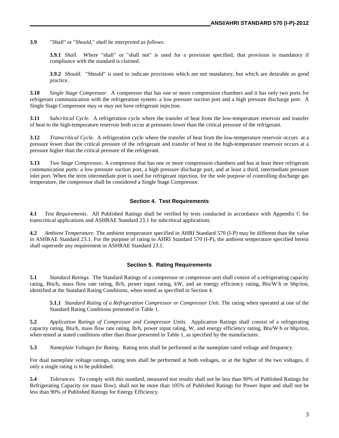**3.9** *"Shall"* or *"Should," shall be interpreted as follows:*

**3.9.1** *Shall.* Where "shall" or "shall not" is used for a provision specified, that provision is mandatory if compliance with the standard is claimed.

**3.9.2** *Should.* "Should" is used to indicate provisions which are not mandatory, but which are desirable as good practice.

**3.10** *Single Stage Compressor.* A compressor that has one or more compression chambers and it has only two ports for refrigerant communication with the refrigeration system: a low pressure suction port and a high pressure discharge port. A Single Stage Compressor may or may not have refrigerant injection.

**3.11** *Subcritical Cycle.* A refrigeration cycle where the transfer of heat from the low-temperature reservoir and transfer of heat to the high-temperature reservoir both occur at pressures lower than the critical pressure of the refrigerant.

**3.12** *Transcritical Cycle.* A refrigeration cycle where the transfer of heat from the low-temperature reservoir occurs at a pressure lower than the critical pressure of the refrigerant and transfer of heat to the high-temperature reservoir occurs at a pressure higher than the critical pressure of the refrigerant.

**3.13** *Two Stage Compressor.* A compressor that has one or more compression chambers and has at least three refrigerant communication ports: a low pressure suction port, a high pressure discharge port, and at least a third, intermediate pressure inlet port. When the term intermediate port is used for refrigerant injection, for the sole purpose of controlling discharge gas temperature, the compressor shall be considered a Single Stage Compressor.

#### **Section 4. Test Requirements**

**4.1** *Test Requirements*. All Published Ratings shall be verified by tests conducted in accordance with Appendix C for transcritical applications and ASHRAE Standard 23.1 for subcritical applications.

**4.2** *Ambient Temperature*. The ambient temperature specified in AHRI Standard 570 (I-P) may be different than the value in ASHRAE Standard 23.1. For the purpose of rating to AHRI Standard 570 (I-P), the ambient temperature specified herein shall supersede any requirement in ASHRAE Standard 23.1.

#### **Section 5. Rating Requirements**

**5.1** *Standard Ratings.* The Standard Ratings of a compressor or compressor unit shall consist of a refrigerating capacity rating, Btu/h, mass flow rate rating, lb/h, power input rating, kW, and an energy efficiency rating, Btu/W∙h or bhp/ton, identified at the Standard Rating Conditions, when tested as specified in Section 4.

**5.1.1** *Standard Rating of a Refrigeration Compressor or Compressor Unit*. The rating when operated at one of the Standard Rating Conditions presented in Table 1.

**5.2** *Application Ratings of Compressor and Compressor Units*. Application Ratings shall consist of a refrigerating capacity rating, Btu/h, mass flow rate rating, lb/h, power input rating, W, and energy efficiency rating, Btu/W∙h or bhp/ton, when tested at stated conditions other than those presented in Table 1, as specified by the manufacturer.

**5.3** *Nameplate Voltages for Rating.* Rating tests shall be performed at the nameplate rated voltage and frequency.

For dual nameplate voltage ratings, rating tests shall be performed at both voltages, or at the higher of the two voltages, if only a single rating is to be published.

**5.4** *Tolerances*. To comply with this standard, measured test results shall not be less than 90% of Published Ratings for Refrigerating Capacity (or mass flow), shall not be more than 105% of Published Ratings for Power Input and shall not be less than 90% of Published Ratings for Energy Efficiency.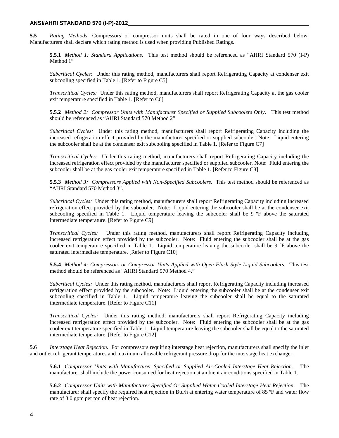**5.5** *Rating Methods*. Compressors or compressor units shall be rated in one of four ways described below. Manufacturers shall declare which rating method is used when providing Published Ratings.

**5.5.1** *Method 1: Standard Applications*. This test method should be referenced as "AHRI Standard 570 (I-P) Method 1"

*Subcritical Cycles:* Under this rating method, manufacturers shall report Refrigerating Capacity at condenser exit subcooling specified in Table 1. [Refer to Figure C5]

*Transcritical Cycles:* Under this rating method, manufacturers shall report Refrigerating Capacity at the gas cooler exit temperature specified in Table 1. [Refer to C6]

**5.5.2** *Method 2: Compressor Units with Manufacturer Specified or Supplied Subcoolers Only*. This test method should be referenced as "AHRI Standard 570 Method 2"

*Subcritical Cycles:* Under this rating method, manufacturers shall report Refrigerating Capacity including the increased refrigeration effect provided by the manufacturer specified or supplied subcooler. Note: Liquid entering the subcooler shall be at the condenser exit subcooling specified in Table 1. [Refer to Figure C7]

*Transcritical Cycles:* Under this rating method, manufacturers shall report Refrigerating Capacity including the increased refrigeration effect provided by the manufacturer specified or supplied subcooler. Note: Fluid entering the subcooler shall be at the gas cooler exit temperature specified in Table 1. [Refer to Figure C8]

**5.5.3** *Method 3: Compressors Applied with Non-Specified Subcoolers.* This test method should be referenced as "AHRI Standard 570 Method 3".

*Subcritical Cycles:* Under this rating method, manufacturers shall report Refrigerating Capacity including increased refrigeration effect provided by the subcooler. Note: Liquid entering the subcooler shall be at the condenser exit subcooling specified in Table 1. Liquid temperature leaving the subcooler shall be 9 °F above the saturated intermediate temperature. [Refer to Figure C9]

*Transcritical Cycles:* Under this rating method, manufacturers shall report Refrigerating Capacity including increased refrigeration effect provided by the subcooler. Note: Fluid entering the subcooler shall be at the gas cooler exit temperature specified in Table 1. Liquid temperature leaving the subcooler shall be 9 ºF above the saturated intermediate temperature. [Refer to Figure C10]

**5.5.4**. *Method 4: Compressors or Compressor Units Applied with Open Flash Style Liquid Subcoolers.* This test method should be referenced as "AHRI Standard 570 Method 4."

*Subcritical Cycles:* Under this rating method, manufacturers shall report Refrigerating Capacity including increased refrigeration effect provided by the subcooler. Note: Liquid entering the subcooler shall be at the condenser exit subcooling specified in Table 1. Liquid temperature leaving the subcooler shall be equal to the saturated intermediate temperature. [Refer to Figure C11]

*Transcritical Cycles:* Under this rating method, manufacturers shall report Refrigerating Capacity including increased refrigeration effect provided by the subcooler. Note: Fluid entering the subcooler shall be at the gas cooler exit temperature specified in Table 1. Liquid temperature leaving the subcooler shall be equal to the saturated intermediate temperature. [Refer to Figure C12]

**5.6** *Interstage Heat Rejection.* For compressors requiring interstage heat rejection, manufacturers shall specify the inlet and outlet refrigerant temperatures and maximum allowable refrigerant pressure drop for the interstage heat exchanger.

**5.6.1** *Compressor Units with Manufacturer Specified or Supplied Air-Cooled Interstage Heat Rejection*. The manufacturer shall include the power consumed for heat rejection at ambient air conditions specified in Table 1.

**5.6.2** *Compressor Units with Manufacturer Specified Or Supplied Water-Cooled Interstage Heat Rejection*. The manufacturer shall specify the required heat rejection in Btu/h at entering water temperature of 85 °F and water flow rate of 3.0 gpm per ton of heat rejection.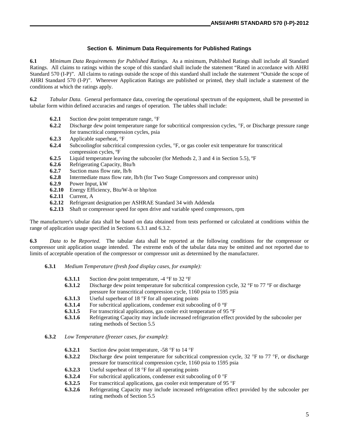#### **Section 6. Minimum Data Requirements for Published Ratings**

**6.1** *Minimum Data Requirements for Published Ratings.* As a minimum, Published Ratings shall include all Standard Ratings. All claims to ratings within the scope of this standard shall include the statement "Rated in accordance with AHRI Standard 570 (I-P)". All claims to ratings outside the scope of this standard shall include the statement "Outside the scope of AHRI Standard 570 (I-P)". Wherever Application Ratings are published or printed, they shall include a statement of the conditions at which the ratings apply.

**6.2** *Tabular Data.* General performance data, covering the operational spectrum of the equipment, shall be presented in tabular form within defined accuracies and ranges of operation. The tables shall include:

- **6.2.1** Suction dew point temperature range,  ${}^{\circ}$ F
- **6.2.2** Discharge dew point temperature range for subcritical compression cycles, °F, or Discharge pressure range for transcritical compression cycles, psia
- **6.2.3** Applicable superheat, °F
- **6.2.4** Subcoolingfor subcritical compression cycles, °F, or gas cooler exit temperature for transcritical compression cycles, ºF
- **6.2.5** Liquid temperature leaving the subcooler (for Methods 2, 3 and 4 in Section 5.5), <sup>o</sup>F 6.2.6 Refrigerating Capacity, Btu/h
- **6.2.6** Refrigerating Capacity, Btu/h
- **6.2.7** Suction mass flow rate, lb/h
- **6.2.8** Intermediate mass flow rate, lb/h (for Two Stage Compressors and compressor units)<br>**6.2.9** Power Input. kW
- **6.2.9** Power Input, kW
- **6.2.10** Energy Efficiency, Btu/W-h or bhp/ton
- **6.2.11** Current, A
- **6.2.12** Refrigerant designation per ASHRAE Standard 34 with Addenda
- **6.2.13** Shaft or compressor speed for open drive and variable speed compressors, rpm

The manufacturer's tabular data shall be based on data obtained from tests performed or calculated at conditions within the range of application usage specified in Sections 6.3.1 and 6.3.2.

**6.3** *Data to be Reported.* The tabular data shall be reported at the following conditions for the compressor or compressor unit application usage intended. The extreme ends of the tabular data may be omitted and not reported due to limits of acceptable operation of the compressor or compressor unit as determined by the manufacturer.

- **6.3.1** *Medium Temperature (fresh food display cases, for example):*
	- **6.3.1.1** Suction dew point temperature, -4 °F to 32 °F
	- **6.3.1.2** Discharge dew point temperature for subcritical compression cycle, 32 °F to 77 °F or discharge pressure for transcritical compression cycle, 1160 psia to 1595 psia
	- **6.3.1.3** Useful superheat of 18 °F for all operating points **6.3.1.4** For subcritical applications, condenser exit subco
	- For subcritical applications, condenser exit subcooling of 0 °F
	- **6.3.1.5** For transcritical applications, gas cooler exit temperature of 95 °F
	- **6.3.1.6** Refrigerating Capacity may include increased refrigeration effect provided by the subcooler per rating methods of Section 5.5
- **6.3.2** *Low Temperature (freezer cases, for example)*:
	- **6.3.2.1** Suction dew point temperature, -58 °F to 14 °F
	- **6.3.2.2** Discharge dew point temperature for subcritical compression cycle, 32 °F to 77 °F, or discharge pressure for transcritical compression cycle, 1160 psia to 1595 psia
	- **6.3.2.3** Useful superheat of 18 °F for all operating points
	- **6.3.2.4** For subcritical applications, condenser exit subcooling of 0 °F 6.3.2.5 For transcritical applications gas cooler exit temperature of 95
	- For transcritical applications, gas cooler exit temperature of 95 °F
	- **6.3.2.6** Refrigerating Capacity may include increased refrigeration effect provided by the subcooler per rating methods of Section 5.5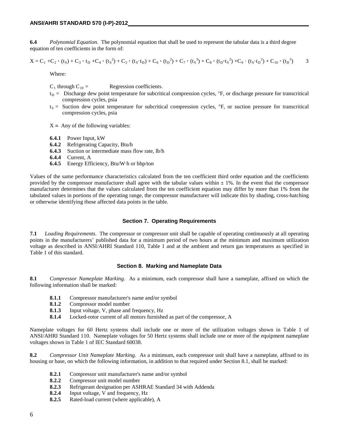**6.4** *Polynomial Equation.* The polynomial equation that shall be used to represent the tabular data is a third degree equation of ten coefficients in the form of:

$$
X = C_1 + C_2 \cdot (t_S) + C_3 \cdot t_D + C_4 \cdot (t_S^2) + C_5 \cdot (t_S \cdot t_D) + C_6 \cdot (t_D^2) + C_7 \cdot (t_S^3) + C_8 \cdot (t_D \cdot t_S^2) + C_9 \cdot (t_S \cdot t_D^2) + C_{10} \cdot (t_D^3)
$$

Where:

 $C_1$  through  $C_{10} =$  Regression coefficients.

- $t_D$  = Discharge dew point temperature for subcritical compression cycles,  $\degree$ F, or discharge pressure for transcritical compression cycles, psia
- $t_S$  = Suction dew point temperature for subcritical compression cycles,  ${}^{\circ}F$ , or suction pressure for transcritical compression cycles, psia

 $X = Any of the following variables:$ 

- **6.4.1** Power Input, kW
- **6.4.2** Refrigerating Capacity, Btu/h
- **6.4.3** Suction or intermediate mass flow rate, lb/h
- **6.4.4** Current, A
- **6.4.5** Energy Efficiency, Btu/W∙h or bhp/ton

Values of the same performance characteristics calculated from the ten coefficient third order equation and the coefficients provided by the compressor manufacturer shall agree with the tabular values within  $\pm$  1%. In the event that the compressor manufacturer determines that the values calculated from the ten coefficient equation may differ by more than 1% from the tabulated values in portions of the operating range, the compressor manufacturer will indicate this by shading, cross-hatching or otherwise identifying those affected data points in the table.

#### **Section 7. Operating Requirements**

**7.1** *Loading Requirements*. The compressor or compressor unit shall be capable of operating continuously at all operating points in the manufacturers' published data for a minimum period of two hours at the minimum and maximum utilization voltage as described in ANSI/AHRI Standard 110, Table 1 and at the ambient and return gas temperatures as specified in Table 1 of this standard.

#### **Section 8. Marking and Nameplate Data**

**8.1** *Compressor Nameplate Marking*. As a minimum, each compressor shall have a nameplate, affixed on which the following information shall be marked:

- **8.1.1** Compressor manufacturer's name and/or symbol
- **8.1.2** Compressor model number
- **8.1.3** Input voltage, V, phase and frequency, Hz
- **8.1.4** Locked-rotor current of all motors furnished as part of the compressor, A

Nameplate voltages for 60 Hertz systems shall include one or more of the utilization voltages shown in Table 1 of ANSI/AHRI Standard 110. Nameplate voltages for 50 Hertz systems shall include one or more of the equipment nameplate voltages shown in Table 1 of IEC Standard 60038.

**8.2** *Compressor Unit Nameplate Marking*. As a minimum, each compressor unit shall have a nameplate, affixed to its housing or base, on which the following information, in addition to that required under Section 8.1, shall be marked:

- **8.2.1** Compressor unit manufacturer's name and/or symbol **8.2.2** Compressor unit model number
- **8.2.2** Compressor unit model number
- **8.2.3** Refrigerant designation per ASHRAE Standard 34 with Addenda<br>**8.2.4** Input voltage. V and frequency. Hz
- **8.2.4** Input voltage, V and frequency, Hz<br>**8.2.5** Rated-load current (where applicably
- **8.2.5** Rated-load current (where applicable), A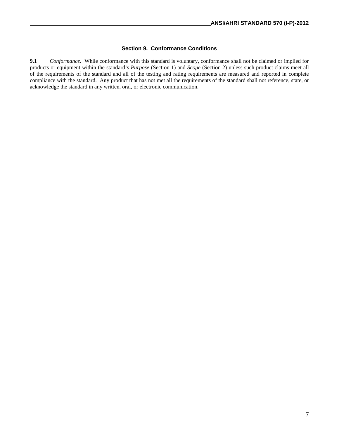#### **Section 9. Conformance Conditions**

**9.1** *Conformance.* While conformance with this standard is voluntary, conformance shall not be claimed or implied for products or equipment within the standard's *Purpose* (Section 1) and *Scope* (Section 2) unless such product claims meet all of the requirements of the standard and all of the testing and rating requirements are measured and reported in complete compliance with the standard. Any product that has not met all the requirements of the standard shall not reference, state, or acknowledge the standard in any written, oral, or electronic communication.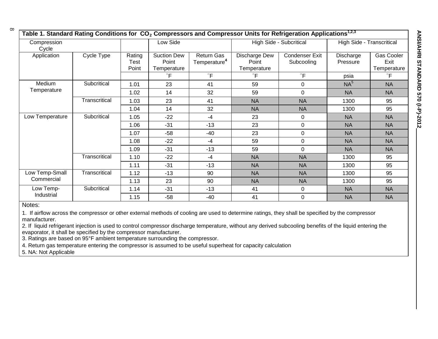**ANSI/AHRI STANDARD 570 (I-P)-2012**

| Table 1. Standard Rating Conditions for $\, {\sf CO}_2$ Compressors and Compressor Units for Refrigeration Applications $^{1,2,3}$ |               |                                |                                            |                                        |                                       |                              |                       |                                   |
|------------------------------------------------------------------------------------------------------------------------------------|---------------|--------------------------------|--------------------------------------------|----------------------------------------|---------------------------------------|------------------------------|-----------------------|-----------------------------------|
| Compression<br>Cycle                                                                                                               |               | Low Side                       |                                            | High Side - Subcritical                |                                       | High Side - Transcritical    |                       |                                   |
| Application                                                                                                                        | Cycle Type    | Rating<br><b>Test</b><br>Point | <b>Suction Dew</b><br>Point<br>Temperature | Return Gas<br>Temperature <sup>4</sup> | Discharge Dew<br>Point<br>Temperature | Condenser Exit<br>Subcooling | Discharge<br>Pressure | Gas Cooler<br>Exit<br>Temperature |
|                                                                                                                                    |               |                                | $\circ$ F                                  | $\circ$ F                              | $\mathsf{P}$                          | $\circ$ F                    | psia                  | $\degree$ F                       |
| Medium<br>Temperature                                                                                                              | Subcritical   | 1.01                           | 23                                         | 41                                     | 59                                    | 0                            | NA <sup>5</sup>       | <b>NA</b>                         |
|                                                                                                                                    |               | 1.02                           | 14                                         | 32                                     | 59                                    | $\mathbf 0$                  | <b>NA</b>             | <b>NA</b>                         |
|                                                                                                                                    | Transcritical | 1.03                           | 23                                         | 41                                     | <b>NA</b>                             | <b>NA</b>                    | 1300                  | 95                                |
|                                                                                                                                    |               | 1.04                           | 14                                         | 32                                     | <b>NA</b>                             | <b>NA</b>                    | 1300                  | 95                                |
| Low Temperature                                                                                                                    | Subcritical   | 1.05                           | $-22$                                      | $-4$                                   | 23                                    | 0                            | <b>NA</b>             | <b>NA</b>                         |
|                                                                                                                                    |               | 1.06                           | $-31$                                      | $-13$                                  | 23                                    | $\mathbf 0$                  | <b>NA</b>             | <b>NA</b>                         |
|                                                                                                                                    |               | 1.07                           | $-58$                                      | $-40$                                  | 23                                    | 0                            | <b>NA</b>             | <b>NA</b>                         |
|                                                                                                                                    |               | 1.08                           | $-22$                                      | $-4$                                   | 59                                    | 0                            | <b>NA</b>             | <b>NA</b>                         |
|                                                                                                                                    |               | 1.09                           | $-31$                                      | $-13$                                  | 59                                    | 0                            | <b>NA</b>             | <b>NA</b>                         |
|                                                                                                                                    | Transcritical | 1.10                           | -22                                        | $-4$                                   | <b>NA</b>                             | <b>NA</b>                    | 1300                  | 95                                |
|                                                                                                                                    |               | 1.11                           | $-31$                                      | $-13$                                  | <b>NA</b>                             | <b>NA</b>                    | 1300                  | 95                                |
| Low Temp-Small<br>Commercial                                                                                                       | Transcritical | 1.12                           | $-13$                                      | 90                                     | <b>NA</b>                             | <b>NA</b>                    | 1300                  | 95                                |
|                                                                                                                                    |               | 1.13                           | 23                                         | 90                                     | <b>NA</b>                             | <b>NA</b>                    | 1300                  | 95                                |
| Low Temp-<br>Industrial                                                                                                            | Subcritical   | 1.14                           | $-31$                                      | $-13$                                  | 41                                    | 0                            | <b>NA</b>             | <b>NA</b>                         |
|                                                                                                                                    |               | 1.15                           | $-58$                                      | $-40$                                  | 41                                    | 0                            | <b>NA</b>             | <b>NA</b>                         |

#### Notes:

1. If airflow across the compressor or other external methods of cooling are used to determine ratings, they shall be specified by the compressor manufacturer.

2. If liquid refrigerant injection is used to control compressor discharge temperature, without any derived subcooling benefits of the liquid entering the evaporator, it shall be specified by the compressor manufacturer.

3. Ratings are based on 95°F ambient temperature surrounding the compressor.

4. Return gas temperature entering the compressor is assumed to be useful superheat for capacity calculation

5. NA: Not Applicable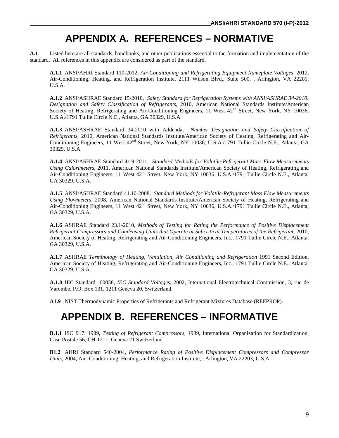# **APPENDIX A. REFERENCES – NORMATIVE**

**A.1** Listed here are all standards, handbooks, and other publications essential to the formation and implementation of the standard. All references in this appendix are considered as part of the standard.

**A.1.1** ANSI**/**AHRI Standard 110-2012, *Air-Conditioning and Refrigerating Equipment Nameplate Voltages,* 2012, Air-Conditioning, Heating, and Refrigeration Institute, 2111 Wilson Blvd., Suite 500, , Arlington, VA 22201, U.S.A.

**A.1.2** ANSI/ASHRAE Standard 15-2010, *Safety Standard for Refrigeration Systems with ANSI/ASHRAE 34-2010: Designation and Safety Classification of Refrigerants,* 2010, American National Standards Institute/American Society of Heating, Refrigerating and Air-Conditioning Engineers, 11 West  $42<sup>nd</sup>$  Street, New York, NY 10036, U.S.A./1791 Tullie Circle N.E., Atlanta, GA 30329, U.S.A.

**A.1.3** ANSI/ASHRAE Standard 34-2010 with Addenda, *Number Designation and Safety Classification of Refrigerants,* 2010, American National Standards Institute/American Society of Heating, Refrigerating and Air-Conditioning Engineers, 11 West 42<sup>nd</sup> Street, New York, NY 10036, U.S.A./1791 Tullie Circle N.E., Atlanta, GA 30329, U.S.A.

**A.1.4** ANSI/ASHRAE Standard 41.9-2011, *Standard Methods for Volatile-Refrigerant Mass Flow Measurements Using Calorimeters,* 2011, American National Standards Institute/American Society of Heating, Refrigerating and Air-Conditioning Engineers, 11 West 42<sup>nd</sup> Street, New York, NY 10036, U.S.A./1791 Tullie Circle N.E., Atlanta, GA 30329, U.S.A.

**A.1.5** ANSI/ASHRAE Standard 41.10-2008, *Standard Methods for Volatile-Refrigerant Mass Flow Measurements Using Flowmeters,* 2008, American National Standards Institute/American Society of Heating, Refrigerating and Air-Conditioning Engineers, 11 West 42<sup>nd</sup> Street, New York, NY 10036, U.S.A./1791 Tullie Circle N.E., Atlanta, GA 30329, U.S.A.

**A.1.6** ASHRAE Standard 23.1-2010, *Methods of Testing for Rating the Performance of Positive Displacement Refrigerant Compressors and Condensing Units that Operate at Subcritical Temperatures of the Refrigerant,* 2010, American Society of Heating, Refrigerating and Air-Conditioning Engineers, Inc., 1791 Tullie Circle N.E., Atlanta, GA 30329, U.S.A.

**A.1.7** ASHRAE *Terminology of Heating, Ventilation, Air Conditioning and Refrigeration* 1991 Second Edition, American Society of Heating, Refrigerating and Air-Conditioning Engineers, Inc., 1791 Tullie Circle N.E., Atlanta, GA 30329, U.S.A.

**A.1.8** IEC Standard 60038, *IEC Standard Voltages,* 2002, International Electrotechnical Commission, 3, rue de Varembe, P.O. Box 131, 1211 Geneva 20, Switzerland.

**A1.9** NIST Thermodynamic Properties of Refrigerants and Refrigerant Mixtures Database (REFPROP)*.*

# **APPENDIX B. REFERENCES – INFORMATIVE**

**B.1.1** ISO 917: 1989, *Testing of Refrigerant Compressors,* 1989, International Organization for Standardization, Case Postale 56, CH-1211, Geneva 21 Switzerland.

**B1.2** AHRI Standard 540-2004, *Performance Rating of Positive Displacement Compressors and Compressor Units*, 2004, Air- Conditioning, Heating, and Refrigeration Institute, , Arlington, VA 22203, U.S.A.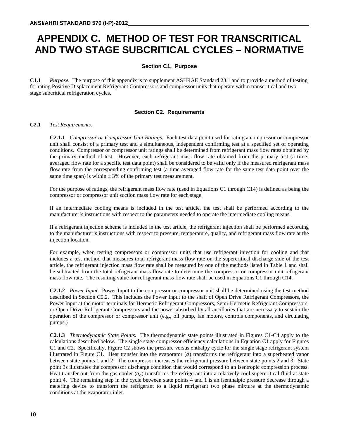# **APPENDIX C. METHOD OF TEST FOR TRANSCRITICAL AND TWO STAGE SUBCRITICAL CYCLES – NORMATIVE**

#### **Section C1. Purpose**

**C1.1** *Purpose.* The purpose of this appendix is to supplement ASHRAE Standard 23.1 and to provide a method of testing for rating Positive Displacement Refrigerant Compressors and compressor units that operate within transcritical and two stage subcritical refrigeration cycles.

#### **Section C2. Requirements**

#### **C2.1** *Test Requirements.*

**C2.1.1** *Compressor or Compressor Unit Ratings.* Each test data point used for rating a compressor or compressor unit shall consist of a primary test and a simultaneous, independent confirming test at a specified set of operating conditions. Compressor or compressor unit ratings shall be determined from refrigerant mass flow rates obtained by the primary method of test. However, each refrigerant mass flow rate obtained from the primary test (a timeaveraged flow rate for a specific test data point) shall be considered to be valid only if the measured refrigerant mass flow rate from the corresponding confirming test (a time-averaged flow rate for the same test data point over the same time span) is within  $\pm$  3% of the primary test measurement.

For the purpose of ratings, the refrigerant mass flow rate (used in Equations C1 through C14) is defined as being the compressor or compressor unit suction mass flow rate for each stage.

If an intermediate cooling means is included in the test article, the test shall be performed according to the manufacturer's instructions with respect to the parameters needed to operate the intermediate cooling means.

If a refrigerant injection scheme is included in the test article, the refrigerant injection shall be performed according to the manufacturer's instructions with respect to pressure, temperature, quality, and refrigerant mass flow rate at the injection location.

For example, when testing compressors or compressor units that use refrigerant injection for cooling and that includes a test method that measures total refrigerant mass flow rate on the supercritical discharge side of the test article, the refrigerant injection mass flow rate shall be measured by one of the methods listed in Table 1 and shall be subtracted from the total refrigerant mass flow rate to determine the compressor or compressor unit refrigerant mass flow rate. The resulting value for refrigerant mass flow rate shall be used in Equations C1 through C14.

**C2.1.2** *Power Input.* Power Input to the compressor or compressor unit shall be determined using the test method described in Section C5.2. This includes the Power Input to the shaft of Open Drive Refrigerant Compressors, the Power Input at the motor terminals for Hermetic Refrigerant Compressors, Semi-Hermetic Refrigerant Compressors, or Open Drive Refrigerant Compressors and the power absorbed by all ancillaries that are necessary to sustain the operation of the compressor or compressor unit (e.g., oil pump, fan motors, controls components, and circulating pumps.)

**C2.1.3** *Thermodynamic State Points.* The thermodynamic state points illustrated in Figures C1-C4 apply to the calculations described below. The single stage compressor efficiency calculations in Equation C1 apply for Figures C1 and C2. Specifically, Figure C2 shows the pressure versus enthalpy cycle for the single stage refrigerant system illustrated in Figure C1. Heat transfer into the evaporator  $(\dot{q})$  transforms the refrigerant into a superheated vapor between state points 1 and 2. The compressor increases the refrigerant pressure between state points 2 and 3. State point 3s illustrates the compressor discharge condition that would correspond to an isentropic compression process. Heat transfer out from the gas cooler  $(\dot{q}_c)$  transforms the refrigerant into a relatively cool supercritical fluid at state point 4. The remaining step in the cycle between state points 4 and 1 is an isenthalpic pressure decrease through a metering device to transform the refrigerant to a liquid refrigerant two phase mixture at the thermodynamic conditions at the evaporator inlet.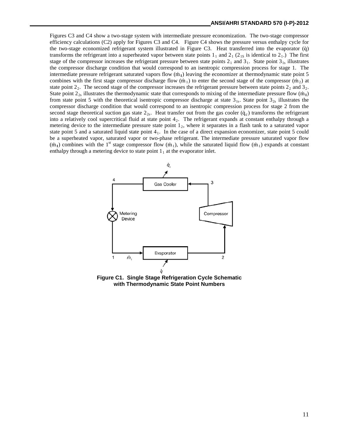Figures C3 and C4 show a two-stage system with intermediate pressure economization. The two-stage compressor efficiency calculations (C2) apply for Figures C3 and C4. Figure C4 shows the pressure versus enthalpy cycle for the two-stage economized refrigerant system illustrated in Figure C3. Heat transferred into the evaporator (q̇) transforms the refrigerant into a superheated vapor between state points  $1_1$  and  $2_1$  ( $2_{1S}$  is identical to  $2_1$ .) The first stage of the compressor increases the refrigerant pressure between state points  $2<sub>1</sub>$  and  $3<sub>1</sub>$ . State point  $3<sub>1s</sub>$  illustrates the compressor discharge condition that would correspond to an isentropic compression process for stage 1. The intermediate pressure refrigerant saturated vapors flow (m<sub>I</sub>) leaving the economizer at thermodynamic state point 5 combines with the first stage compressor discharge flow  $(m_1)$  to enter the second stage of the compressor  $(m_2)$  at state point  $2<sub>2</sub>$ . The second stage of the compressor increases the refrigerant pressure between state points  $2<sub>2</sub>$  and  $3<sub>2</sub>$ . State point  $2_{2s}$  illustrates the thermodynamic state that corresponds to mixing of the intermediate pressure flow  $(m_1)$ from state point 5 with the theoretical isentropic compressor discharge at state  $3_{1s}$ . State point  $3_{2s}$  illustrates the compressor discharge condition that would correspond to an isentropic compression process for stage 2 from the second stage theoretical suction gas state  $2_{2s}$ . Heat transfer out from the gas cooler  $(\dot{q}_c)$  transforms the refrigerant into a relatively cool supercritical fluid at state point  $4<sub>2</sub>$ . The refrigerant expands at constant enthalpy through a metering device to the intermediate pressure state point  $1<sub>2</sub>$ , where it separates in a flash tank to a saturated vapor state point 5 and a saturated liquid state point  $4<sub>1</sub>$ . In the case of a direct expansion economizer, state point 5 could be a superheated vapor, saturated vapor or two-phase refrigerant. The intermediate pressure saturated vapor flow  $(m<sub>1</sub>)$  combines with the 1<sup>st</sup> stage compressor flow  $(m<sub>1</sub>)$ , while the saturated liquid flow  $(m<sub>1</sub>)$  expands at constant enthalpy through a metering device to state point  $1<sub>1</sub>$  at the evaporator inlet.



**Figure C1. Single Stage Refrigeration Cycle Schematic with Thermodynamic State Point Numbers**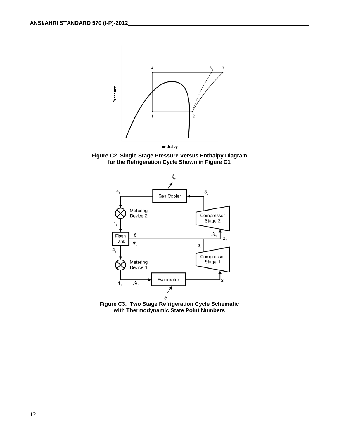





**Figure C3. Two Stage Refrigeration Cycle Schematic with Thermodynamic State Point Numbers**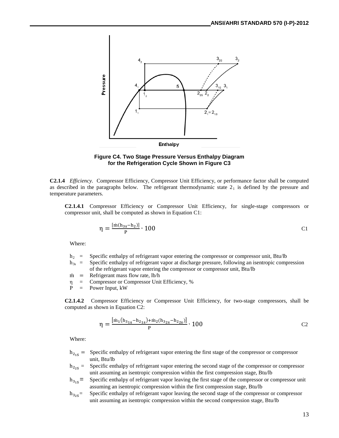

**Figure C4. Two Stage Pressure Versus Enthalpy Diagram for the Refrigeration Cycle Shown in Figure C3**

**C2.1.4** *Efficiency.* Compressor Efficiency, Compressor Unit Efficiency, or performance factor shall be computed as described in the paragraphs below. The refrigerant thermodynamic state  $2<sub>1</sub>$  is defined by the pressure and temperature parameters.

**C2.1.4.1** Compressor Efficiency or Compressor Unit Efficiency, for single-stage compressors or compressor unit, shall be computed as shown in Equation C1:

$$
\eta = \frac{\left[\dot{m}(h_{3s} - h_2)\right]}{P} \cdot 100\tag{C1}
$$

Where:

- $h<sub>2</sub>$  = Specific enthalpy of refrigerant vapor entering the compressor or compressor unit, Btu/lb
- $h_{3s}$  = Specific enthalpy of refrigerant vapor at discharge pressure, following an isentropic compression of the refrigerant vapor entering the compressor or compressor unit, Btu/lb
- 
- $\dot{m}$  = Refrigerant mass flow rate, lb/h<br>  $\eta$  = Compressor or Compressor Uni Compressor or Compressor Unit Efficiency, %
- P = Power Input, kW

**C2.1.4.2** Compressor Efficiency or Compressor Unit Efficiency, for two-stage compressors, shall be computed as shown in Equation C2:

$$
\eta = \frac{\left[\dot{m}_1(h_{31s} - h_{21s}) + \dot{m}_2(h_{32s} - h_{22s})\right]}{P} \cdot 100
$$
 C2

Where:

- $h_{215}$  = Specific enthalpy of refrigerant vapor entering the first stage of the compressor or compressor unit, Btu/lb
- $h_{2.55}$  = Specific enthalpy of refrigerant vapor entering the second stage of the compressor or compressor unit assuming an isentropic compression within the first compression stage, Btu/lb
- $h_{315}$  = Specific enthalpy of refrigerant vapor leaving the first stage of the compressor or compressor unit assuming an isentropic compression within the first compression stage, Btu/lb
- $h_{3.85}$ = Specific enthalpy of refrigerant vapor leaving the second stage of the compressor or compressor unit assuming an isentropic compression within the second compression stage, Btu/lb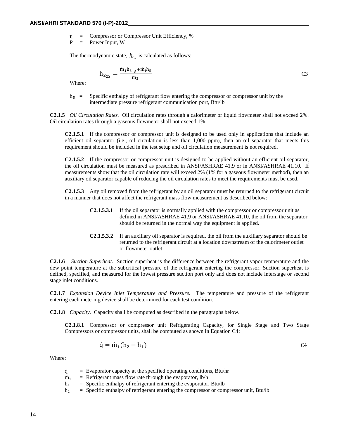η = Compressor or Compressor Unit Efficiency, %

P = Power Input, W

The thermodynamic state,  $h_{2s}$  is calculated as follows:

$$
h_{2_{2S}} = \frac{m_1 h_{3_{1S}} + m_1 h_5}{m_2}
$$
 C3

Where:

 $h<sub>5</sub>$  = Specific enthalpy of refrigerant flow entering the compressor or compressor unit by the intermediate pressure refrigerant communication port, Btu/lb

**C2.1.5** *Oil Circulation Rates.* Oil circulation rates through a calorimeter or liquid flowmeter shall not exceed 2%. Oil circulation rates through a gaseous flowmeter shall not exceed 1%.

**C2.1.5.1** If the compressor or compressor unit is designed to be used only in applications that include an efficient oil separator (i.e., oil circulation is less than 1,000 ppm), then an oil separator that meets this requirement should be included in the test setup and oil circulation measurement is not required.

**C2.1.5.2** If the compressor or compressor unit is designed to be applied without an efficient oil separator, the oil circulation must be measured as prescribed in ANSI/ASHRAE 41.9 or in ANSI/ASHRAE 41.10*.* If measurements show that the oil circulation rate will exceed 2% (1% for a gaseous flowmeter method), then an auxiliary oil separator capable of reducing the oil circulation rates to meet the requirements must be used.

**C2.1.5.3** Any oil removed from the refrigerant by an oil separator must be returned to the refrigerant circuit in a manner that does not affect the refrigerant mass flow measurement as described below:

- **C2.1.5.3.1** If the oil separator is normally applied with the compressor or compressor unit as defined in ANSI/ASHRAE 41.9 or ANSI/ASHRAE 41.10*,* the oil from the separator should be returned in the normal way the equipment is applied.
- **C2.1.5.3.2** If an auxiliary oil separator is required, the oil from the auxiliary separator should be returned to the refrigerant circuit at a location downstream of the calorimeter outlet or flowmeter outlet.

**C2.1.6** *Suction Superheat.* Suction superheat is the difference between the refrigerant vapor temperature and the dew point temperature at the subcritical pressure of the refrigerant entering the compressor. Suction superheat is defined, specified, and measured for the lowest pressure suction port only and does not include interstage or second stage inlet conditions.

**C2.1.7** *Expansion Device Inlet Temperature and Pressure.* The temperature and pressure of the refrigerant entering each metering device shall be determined for each test condition.

**C2.1.8** *Capacity.* Capacity shall be computed as described in the paragraphs below.

**C2.1.8.1** Compressor or compressor unit Refrigerating Capacity, for Single Stage and Two Stage Compressors or compressor units, shall be computed as shown in Equation C4:

$$
\dot{q} = \dot{m}_1(h_2 - h_1) \tag{24}
$$

Where:

- $\dot{q}$  = Evaporator capacity at the specified operating conditions, Btu/hr<br> $\dot{m}_1$  = Refrigerant mass flow rate through the evaporator, lb/h
- $\dot{m}_1$  = Refrigerant mass flow rate through the evaporator, lb/h<br>  $h_1$  = Specific enthalpy of refrigerant entering the evaporator,
- $=$  Specific enthalpy of refrigerant entering the evaporator, Btu/lb
- $h_2$  = Specific enthalpy of refrigerant entering the compressor or compressor unit, Btu/lb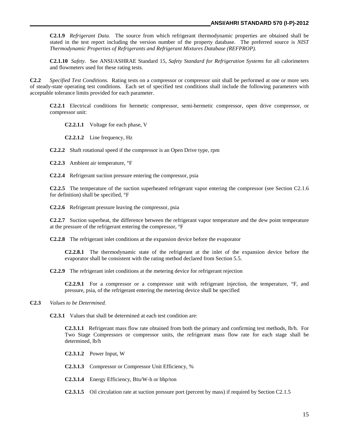**C2.1.9** *Refrigerant Data.* The source from which refrigerant thermodynamic properties are obtained shall be stated in the test report including the version number of the property database. The preferred source is *NIST Thermodynamic Properties of Refrigerants and Refrigerant Mixtures Database (REFPROP).*

**C2.1.10** *Safety.* See ANSI/ASHRAE Standard 15*, Safety Standard for Refrigeration Systems* for all calorimeters and flowmeters used for these rating tests.

**C2.2** *Specified Test Conditions.* Rating tests on a compressor or compressor unit shall be performed at one or more sets of steady-state operating test conditions. Each set of specified test conditions shall include the following parameters with acceptable tolerance limits provided for each parameter.

**C2.2.1** Electrical conditions for hermetic compressor, semi-hermetic compressor, open drive compressor, or compressor unit:

**C2.2.1.1** Voltage for each phase, V

**C2.2.1.2** Line frequency, Hz

**C2.2.2** Shaft rotational speed if the compressor is an Open Drive type, rpm

**C2.2.3** Ambient air temperature, °F

**C2.2.4** Refrigerant suction pressure entering the compressor, psia

**C2.2.5** The temperature of the suction superheated refrigerant vapor entering the compressor (see Section C2.1.6 for definition) shall be specified, °F

**C2.2.6** Refrigerant pressure leaving the compressor, psia

**C2.2.7** Suction superheat, the difference between the refrigerant vapor temperature and the dew point temperature at the pressure of the refrigerant entering the compressor, °F

**C2.2.8** The refrigerant inlet conditions at the expansion device before the evaporator

**C2.2.8.1** The thermodynamic state of the refrigerant at the inlet of the expansion device before the evaporator shall be consistent with the rating method declared from Section 5.5.

**C2.2.9** The refrigerant inlet conditions at the metering device for refrigerant rejection

**C2.2.9.1** For a compressor or a compressor unit with refrigerant injection, the temperature, °F, and pressure, psia, of the refrigerant entering the metering device shall be specified

**C2.3** *Values to be Determined.*

**C2.3.1** Values that shall be determined at each test condition are:

**C2.3.1.1** Refrigerant mass flow rate obtained from both the primary and confirming test methods, lb/h. For Two Stage Compressors or compressor units, the refrigerant mass flow rate for each stage shall be determined, lb/h

**C2.3.1.2** Power Input, W

**C2.3.1.3** Compressor or Compressor Unit Efficiency, %

**C2.3.1.4** Energy Efficiency, Btu/W-h or bhp/ton

**C2.3.1.5** Oil circulation rate at suction pressure port (percent by mass) if required by Section C2.1.5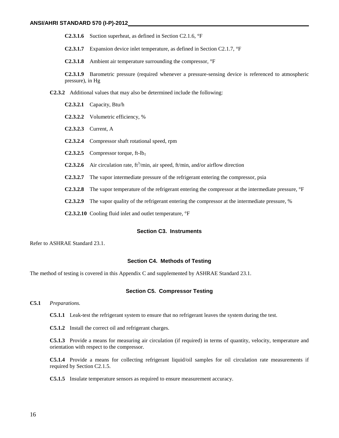**C2.3.1.6** Suction superheat, as defined in Section C2.1.6, °F

**C2.3.1.7** Expansion device inlet temperature, as defined in Section C2.1.7, °F

**C2.3.1.8** Ambient air temperature surrounding the compressor, °F

**C2.3.1.9** Barometric pressure (required whenever a pressure-sensing device is referenced to atmospheric pressure), in Hg

- **C2.3.2** Additional values that may also be determined include the following:
	- **C2.3.2.1** Capacity, Btu/h
	- **C2.3.2.2** Volumetric efficiency, %
	- **C2.3.2.3** Current, A
	- **C2.3.2.4** Compressor shaft rotational speed, rpm
	- **C2.3.2.5** Compressor torque, ft-lb $_f$
	- **C2.3.2.6** Air circulation rate,  $ft^3/\text{min}$ , air speed,  $ft/\text{min}$ , and/or airflow direction
	- **C2.3.2.7** The vapor intermediate pressure of the refrigerant entering the compressor, psia
	- **C2.3.2.8** The vapor temperature of the refrigerant entering the compressor at the intermediate pressure, °F
	- **C2.3.2.9** The vapor quality of the refrigerant entering the compressor at the intermediate pressure, %
	- **C2.3.2.10** Cooling fluid inlet and outlet temperature, °F

#### **Section C3. Instruments**

Refer to ASHRAE Standard 23.1.

#### **Section C4. Methods of Testing**

The method of testing is covered in this Appendix C and supplemented by ASHRAE Standard 23.1.

#### **Section C5. Compressor Testing**

#### **C5.1** *Preparations.*

**C5.1.1** Leak-test the refrigerant system to ensure that no refrigerant leaves the system during the test.

**C5.1.2** Install the correct oil and refrigerant charges.

**C5.1.3** Provide a means for measuring air circulation (if required) in terms of quantity, velocity, temperature and orientation with respect to the compressor.

**C5.1.4** Provide a means for collecting refrigerant liquid/oil samples for oil circulation rate measurements if required by Section C2.1.5.

**C5.1.5** Insulate temperature sensors as required to ensure measurement accuracy.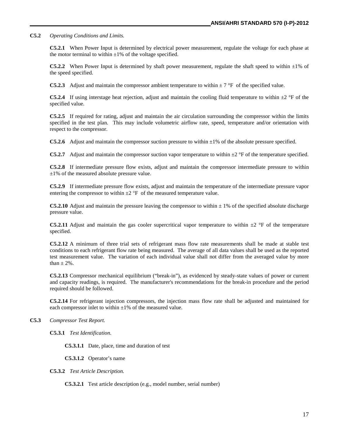**C5.2** *Operating Conditions and Limits.*

**C5.2.1** When Power Input is determined by electrical power measurement, regulate the voltage for each phase at the motor terminal to within  $\pm 1\%$  of the voltage specified.

**C5.2.2** When Power Input is determined by shaft power measurement, regulate the shaft speed to within  $\pm 1\%$  of the speed specified.

**C5.2.3** Adjust and maintain the compressor ambient temperature to within  $\pm 7$  °F of the specified value.

**C5.2.4** If using interstage heat rejection, adjust and maintain the cooling fluid temperature to within  $\pm 2$  °F of the specified value.

**C5.2.5** If required for rating, adjust and maintain the air circulation surrounding the compressor within the limits specified in the test plan. This may include volumetric airflow rate, speed, temperature and/or orientation with respect to the compressor.

**C5.2.6** Adjust and maintain the compressor suction pressure to within  $\pm 1\%$  of the absolute pressure specified.

**C5.2.7** Adjust and maintain the compressor suction vapor temperature to within  $\pm 2$  °F of the temperature specified.

**C5.2.8** If intermediate pressure flow exists, adjust and maintain the compressor intermediate pressure to within  $\pm 1\%$  of the measured absolute pressure value.

**C5.2.9** If intermediate pressure flow exists, adjust and maintain the temperature of the intermediate pressure vapor entering the compressor to within  $\pm 2$  °F of the measured temperature value.

**C5.2.10** Adjust and maintain the pressure leaving the compressor to within  $\pm$  1% of the specified absolute discharge pressure value.

**C5.2.11** Adjust and maintain the gas cooler supercritical vapor temperature to within  $\pm 2$  °F of the temperature specified.

**C5.2.12** A minimum of three trial sets of refrigerant mass flow rate measurements shall be made at stable test conditions to each refrigerant flow rate being measured. The average of all data values shall be used as the reported test measurement value. The variation of each individual value shall not differ from the averaged value by more than  $\pm$  2%.

**C5.2.13** Compressor mechanical equilibrium ("break-in"), as evidenced by steady-state values of power or current and capacity readings, is required. The manufacturer's recommendations for the break-in procedure and the period required should be followed.

**C5.2.14** For refrigerant injection compressors, the injection mass flow rate shall be adjusted and maintained for each compressor inlet to within  $\pm 1\%$  of the measured value.

**C5.3** *Compressor Test Report.*

**C5.3.1** *Test Identification.*

**C5.3.1.1** Date, place, time and duration of test

**C5.3.1.2** Operator's name

**C5.3.2** *Test Article Description.*

**C5.3.2.1** Test article description (e.g., model number, serial number)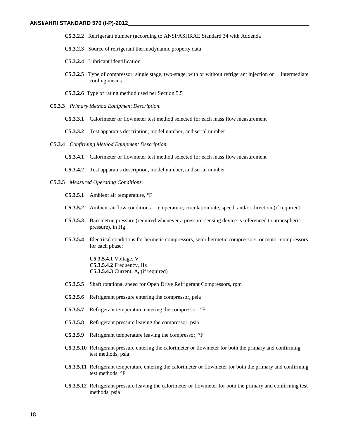- **C5.3.2.2** Refrigerant number (according to ANSI/ASHRAE Standard 34 with Addenda
- **C5.3.2.3** Source of refrigerant thermodynamic property data
- **C5.3.2.4** Lubricant identification
- **C5.3.2.5** Type of compressor: single stage, two-stage, with or without refrigerant injection or intermediate cooling means
- **C5.3.2.6** Type of rating method used per Section 5.5
- **C5.3.3** *Primary Method Equipment Description.*
	- **C5.3.3.1** Calorimeter or flowmeter test method selected for each mass flow measurement
	- **C5.3.3.2** Test apparatus description, model number, and serial number
- **C5.3.4** *Confirming Method Equipment Description.*
	- **C5.3.4.1** Calorimeter or flowmeter test method selected for each mass flow measurement
	- **C5.3.4.2** Test apparatus description, model number, and serial number
- **C5.3.5** *Measured Operating Conditions.*
	- **C5.3.5.1** Ambient air temperature, °F
	- **C5.3.5.2** Ambient airflow conditions temperature, circulation rate, speed, and/or direction (if required)
	- **C5.3.5.3** Barometric pressure (required whenever a pressure-sensing device is referenced to atmospheric pressure), in Hg
	- **C5.3.5.4** Electrical conditions for hermetic compressors, semi-hermetic compressors, or motor-compressors for each phase:

**C5.3.5.4.1** Voltage, V **C5.3.5.4.2** Frequency, Hz **C5.3.5.4.3** Current, A**,** (if required)

- **C5.3.5.5** Shaft rotational speed for Open Drive Refrigerant Compressors, rpm
- **C5.3.5.6** Refrigerant pressure entering the compressor, psia
- **C5.3.5.7** Refrigerant temperature entering the compressor, °F
- **C5.3.5.8** Refrigerant pressure leaving the compressor, psia
- **C5.3.5.9** Refrigerant temperature leaving the compressor, °F
- **C5.3.5.10** Refrigerant pressure entering the calorimeter or flowmeter for both the primary and confirming test methods, psia
- **C5.3.5.11** Refrigerant temperature entering the calorimeter or flowmeter for both the primary and confirming test methods, °F
- **C5.3.5.12** Refrigerant pressure leaving the calorimeter or flowmeter for both the primary and confirming test methods, psia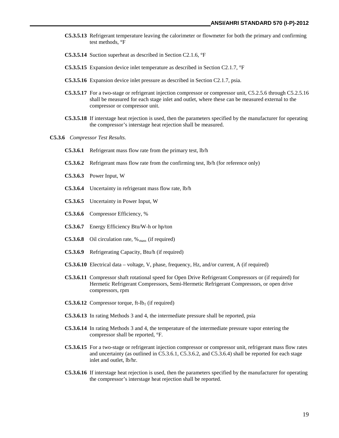- **C5.3.5.13** Refrigerant temperature leaving the calorimeter or flowmeter for both the primary and confirming test methods, °F
- **C5.3.5.14** Suction superheat as described in Section C2.1.6, °F
- **C5.3.5.15** Expansion device inlet temperature as described in Section C2.1.7, °F
- **C5.3.5.16** Expansion device inlet pressure as described in Section C2.1.7, psia.
- **C5.3.5.17** For a two-stage or refrigerant injection compressor or compressor unit, C5.2.5.6 through C5.2.5.16 shall be measured for each stage inlet and outlet, where these can be measured external to the compressor or compressor unit.
- **C5.3.5.18** If interstage heat rejection is used, then the parameters specified by the manufacturer for operating the compressor's interstage heat rejection shall be measured.
- **C5.3.6** *Compressor Test Results.*
	- **C5.3.6.1** Refrigerant mass flow rate from the primary test, lb/h
	- **C5.3.6.2** Refrigerant mass flow rate from the confirming test, lb/h (for reference only)
	- **C5.3.6.3** Power Input, W
	- **C5.3.6.4** Uncertainty in refrigerant mass flow rate, lb/h
	- **C5.3.6.5** Uncertainty in Power Input, W
	- **C5.3.6.6** Compressor Efficiency, %
	- **C5.3.6.7** Energy Efficiency Btu/W-h or hp/ton
	- **C5.3.6.8** Oil circulation rate,  $\%$ <sub>mass</sub> (if required)
	- **C5.3.6.9** Refrigerating Capacity, Btu/h (if required)
	- **C5.3.6.10** Electrical data voltage, V, phase, frequency, Hz, and/or current, A (if required)
	- **C5.3.6.11** Compressor shaft rotational speed for Open Drive Refrigerant Compressors or (if required) for Hermetic Refrigerant Compressors, Semi-Hermetic Refrigerant Compressors, or open drive compressors, rpm
	- **C5.3.6.12** Compressor torque, ft-lb<sub>f</sub> (if required)
	- **C5.3.6.13** In rating Methods 3 and 4, the intermediate pressure shall be reported, psia
	- **C5.3.6.14** In rating Methods 3 and 4, the temperature of the intermediate pressure vapor entering the compressor shall be reported, °F.
	- **C5.3.6.15** For a two-stage or refrigerant injection compressor or compressor unit, refrigerant mass flow rates and uncertainty (as outlined in C5.3.6.1, C5.3.6.2, and C5.3.6.4) shall be reported for each stage inlet and outlet, lb/hr.
	- **C5.3.6.16** If interstage heat rejection is used, then the parameters specified by the manufacturer for operating the compressor's interstage heat rejection shall be reported.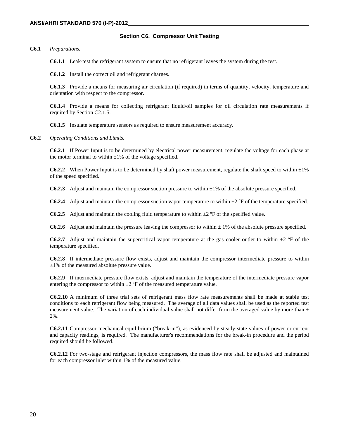#### **Section C6. Compressor Unit Testing**

**C6.1** *Preparations.*

**C6.1.1** Leak-test the refrigerant system to ensure that no refrigerant leaves the system during the test.

**C6.1.2** Install the correct oil and refrigerant charges.

**C6.1.3** Provide a means for measuring air circulation (if required) in terms of quantity, velocity, temperature and orientation with respect to the compressor.

**C6.1.4** Provide a means for collecting refrigerant liquid/oil samples for oil circulation rate measurements if required by Section C2.1.5.

**C6.1.5** Insulate temperature sensors as required to ensure measurement accuracy.

**C6.2** *Operating Conditions and Limits.*

**C6.2.1** If Power Input is to be determined by electrical power measurement, regulate the voltage for each phase at the motor terminal to within  $\pm 1\%$  of the voltage specified.

**C6.2.2** When Power Input is to be determined by shaft power measurement, regulate the shaft speed to within  $\pm 1\%$ of the speed specified.

**C6.2.3** Adjust and maintain the compressor suction pressure to within  $\pm 1\%$  of the absolute pressure specified.

**C6.2.4** Adjust and maintain the compressor suction vapor temperature to within  $\pm 2$  °F of the temperature specified.

**C6.2.5** Adjust and maintain the cooling fluid temperature to within  $\pm 2$  °F of the specified value.

**C6.2.6** Adjust and maintain the pressure leaving the compressor to within  $\pm$  1% of the absolute pressure specified.

**C6.2.7** Adjust and maintain the supercritical vapor temperature at the gas cooler outlet to within  $\pm 2$  °F of the temperature specified.

**C6.2.8** If intermediate pressure flow exists, adjust and maintain the compressor intermediate pressure to within  $\pm 1\%$  of the measured absolute pressure value.

**C6.2.9** If intermediate pressure flow exists, adjust and maintain the temperature of the intermediate pressure vapor entering the compressor to within  $\pm 2$  °F of the measured temperature value.

**C6.2.10** A minimum of three trial sets of refrigerant mass flow rate measurements shall be made at stable test conditions to each refrigerant flow being measured. The average of all data values shall be used as the reported test measurement value. The variation of each individual value shall not differ from the averaged value by more than  $\pm$ 2%.

**C6.2.11** Compressor mechanical equilibrium ("break-in"), as evidenced by steady-state values of power or current and capacity readings, is required. The manufacturer's recommendations for the break-in procedure and the period required should be followed.

**C6.2.12** For two-stage and refrigerant injection compressors, the mass flow rate shall be adjusted and maintained for each compressor inlet within 1% of the measured value.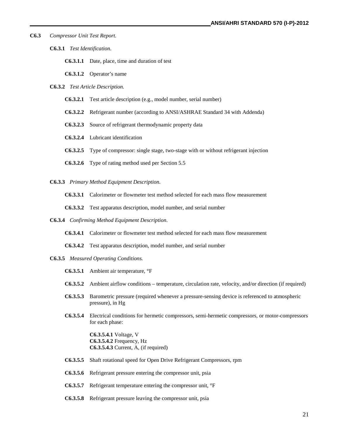- **C6.3** *Compressor Unit Test Report.*
	- **C6.3.1** *Test Identification.*
		- **C6.3.1.1** Date, place, time and duration of test
		- **C6.3.1.2** Operator's name
	- **C6.3.2** *Test Article Description.*
		- **C6.3.2.1** Test article description (e.g., model number, serial number)
		- **C6.3.2.2** Refrigerant number (according to ANSI/ASHRAE Standard 34 with Addenda)
		- **C6.3.2.3** Source of refrigerant thermodynamic property data
		- **C6.3.2.4** Lubricant identification
		- **C6.3.2.5** Type of compressor: single stage, two-stage with or without refrigerant injection
		- **C6.3.2.6** Type of rating method used per Section 5.5
	- **C6.3.3** *Primary Method Equipment Description.*
		- **C6.3.3.1** Calorimeter or flowmeter test method selected for each mass flow measurement
		- **C6.3.3.2** Test apparatus description, model number, and serial number
	- **C6.3.4** *Confirming Method Equipment Description.*
		- **C6.3.4.1** Calorimeter or flowmeter test method selected for each mass flow measurement
		- **C6.3.4.2** Test apparatus description, model number, and serial number
	- **C6.3.5** *Measured Operating Conditions.*
		- **C6.3.5.1** Ambient air temperature, °F
		- **C6.3.5.2** Ambient airflow conditions temperature, circulation rate, velocity, and/or direction (if required)
		- **C6.3.5.3** Barometric pressure (required whenever a pressure-sensing device is referenced to atmospheric pressure), in Hg
		- **C6.3.5.4** Electrical conditions for hermetic compressors, semi-hermetic compressors, or motor-compressors for each phase:

**C6.3.5.4.1** Voltage, V **C6.3.5.4.2** Frequency, Hz **C6.3.5.4.3** Current, A, (if required)

- **C6.3.5.5** Shaft rotational speed for Open Drive Refrigerant Compressors, rpm
- **C6.3.5.6** Refrigerant pressure entering the compressor unit, psia
- **C6.3.5.7** Refrigerant temperature entering the compressor unit, °F
- **C6.3.5.8** Refrigerant pressure leaving the compressor unit, psia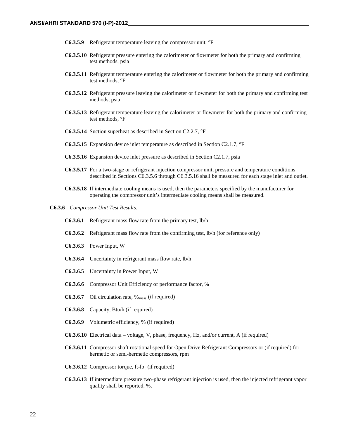- **C6.3.5.9** Refrigerant temperature leaving the compressor unit, °F
- **C6.3.5.10** Refrigerant pressure entering the calorimeter or flowmeter for both the primary and confirming test methods, psia
- **C6.3.5.11** Refrigerant temperature entering the calorimeter or flowmeter for both the primary and confirming test methods, °F
- **C6.3.5.12** Refrigerant pressure leaving the calorimeter or flowmeter for both the primary and confirming test methods, psia
- **C6.3.5.13** Refrigerant temperature leaving the calorimeter or flowmeter for both the primary and confirming test methods, °F
- **C6.3.5.14** Suction superheat as described in Section C2.2.7, °F
- **C6.3.5.15** Expansion device inlet temperature as described in Section C2.1.7, °F
- **C6.3.5.16** Expansion device inlet pressure as described in Section C2.1.7, psia
- **C6.3.5.17** For a two-stage or refrigerant injection compressor unit, pressure and temperature conditions described in Sections C6.3.5.6 through C6.3.5.16 shall be measured for each stage inlet and outlet.
- **C6.3.5.18** If intermediate cooling means is used, then the parameters specified by the manufacturer for operating the compressor unit's intermediate cooling means shall be measured.
- **C6.3.6** *Compressor Unit Test Results.*
	- **C6.3.6.1** Refrigerant mass flow rate from the primary test, lb/h
	- **C6.3.6.2** Refrigerant mass flow rate from the confirming test, lb/h (for reference only)
	- **C6.3.6.3** Power Input, W
	- **C6.3.6.4** Uncertainty in refrigerant mass flow rate, lb/h
	- **C6.3.6.5** Uncertainty in Power Input, W
	- **C6.3.6.6** Compressor Unit Efficiency or performance factor, %
	- **C6.3.6.7** Oil circulation rate,  $\%$ <sub>mass</sub> (if required)
	- **C6.3.6.8** Capacity, Btu/h (if required)
	- **C6.3.6.9** Volumetric efficiency, % (if required)
	- **C6.3.6.10** Electrical data voltage, V, phase, frequency, Hz, and/or current, A (if required)
	- **C6.3.6.11** Compressor shaft rotational speed for Open Drive Refrigerant Compressors or (if required) for hermetic or semi-hermetic compressors, rpm
	- **C6.3.6.12** Compressor torque, ft-lb<sub>f</sub> (if required)
	- **C6.3.6.13** If intermediate pressure two-phase refrigerant injection is used, then the injected refrigerant vapor quality shall be reported, %.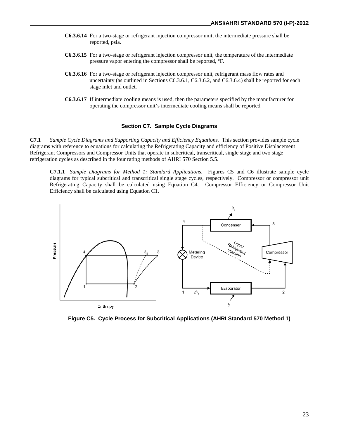- **C6.3.6.14** For a two-stage or refrigerant injection compressor unit, the intermediate pressure shall be reported, psia.
- **C6.3.6.15** For a two-stage or refrigerant injection compressor unit, the temperature of the intermediate pressure vapor entering the compressor shall be reported, °F.
- **C6.3.6.16** For a two-stage or refrigerant injection compressor unit, refrigerant mass flow rates and uncertainty (as outlined in Sections C6.3.6.1, C6.3.6.2, and C6.3.6.4) shall be reported for each stage inlet and outlet.
- **C6.3.6.17** If intermediate cooling means is used, then the parameters specified by the manufacturer for operating the compressor unit's intermediate cooling means shall be reported

#### **Section C7. Sample Cycle Diagrams**

**C7.1** *Sample Cycle Diagrams and Supporting Capacity and Efficiency Equations.* This section provides sample cycle diagrams with reference to equations for calculating the Refrigerating Capacity and efficiency of Positive Displacement Refrigerant Compressors and Compressor Units that operate in subcritical, transcritical, single stage and two stage refrigeration cycles as described in the four rating methods of AHRI 570 Section 5.5.

**C7.1.1** *Sample Diagrams for Method 1: Standard Applications*. Figures C5 and C6 illustrate sample cycle diagrams for typical subcritical and transcritical single stage cycles, respectively. Compressor or compressor unit Refrigerating Capacity shall be calculated using Equation C4. Compressor Efficiency or Compressor Unit Efficiency shall be calculated using Equation C1.



**Figure C5. Cycle Process for Subcritical Applications (AHRI Standard 570 Method 1)**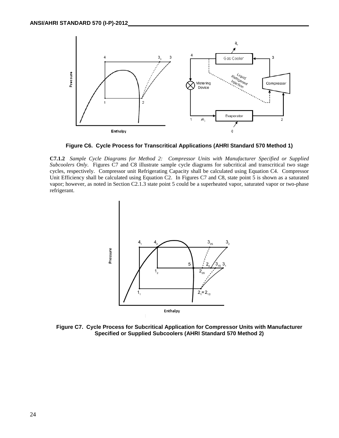

**Figure C6. Cycle Process for Transcritical Applications (AHRI Standard 570 Method 1)**

**C7.1.2** *Sample Cycle Diagrams for Method 2: Compressor Units with Manufacturer Specified or Supplied Subcoolers Only*. Figures C7 and C8 illustrate sample cycle diagrams for subcritical and transcritical two stage cycles, respectively. Compressor unit Refrigerating Capacity shall be calculated using Equation C4. Compressor Unit Efficiency shall be calculated using Equation C2. In Figures C7 and C8, state point 5 is shown as a saturated vapor; however, as noted in Section C2.1.3 state point 5 could be a superheated vapor, saturated vapor or two-phase refrigerant.



**Figure C7. Cycle Process for Subcritical Application for Compressor Units with Manufacturer Specified or Supplied Subcoolers (AHRI Standard 570 Method 2)**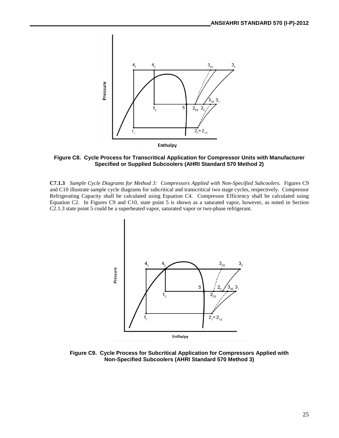

**Figure C8. Cycle Process for Transcritical Application for Compressor Units with Manufacturer Specified or Supplied Subcoolers (AHRI Standard 570 Method 2)**

**C7.1.3** *Sample Cycle Diagrams for Method 3: Compressors Applied with Non-Specified Subcoolers.* Figures C9 and C10 illustrate sample cycle diagrams for subcritical and transcritical two stage cycles, respectively. Compressor Refrigerating Capacity shall be calculated using Equation C4. Compressor Efficiency shall be calculated using Equation C2. In Figures C9 and C10, state point 5 is shown as a saturated vapor, however, as noted in Section C2.1.3 state point 5 could be a superheated vapor, saturated vapor or two-phase refrigerant.



**Figure C9. Cycle Process for Subcritical Application for Compressors Applied with Non-Specified Subcoolers (AHRI Standard 570 Method 3)**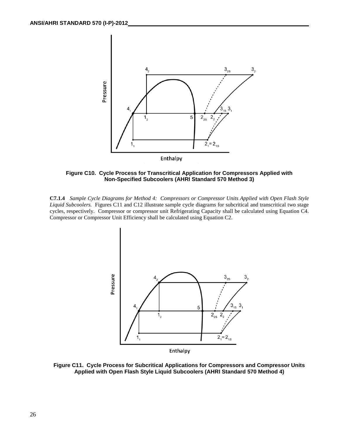

**Figure C10. Cycle Process for Transcritical Application for Compressors Applied with Non-Specified Subcoolers (AHRI Standard 570 Method 3)**

**C7.1.4** *Sample Cycle Diagrams for Method 4: Compressors or Compressor Units Applied with Open Flash Style Liquid Subcoolers.* Figures C11 and C12 illustrate sample cycle diagrams for subcritical and transcritical two stage cycles, respectively. Compressor or compressor unit Refrigerating Capacity shall be calculated using Equation C4. Compressor or Compressor Unit Efficiency shall be calculated using Equation C2.



**Figure C11. Cycle Process for Subcritical Applications for Compressors and Compressor Units Applied with Open Flash Style Liquid Subcoolers (AHRI Standard 570 Method 4)**